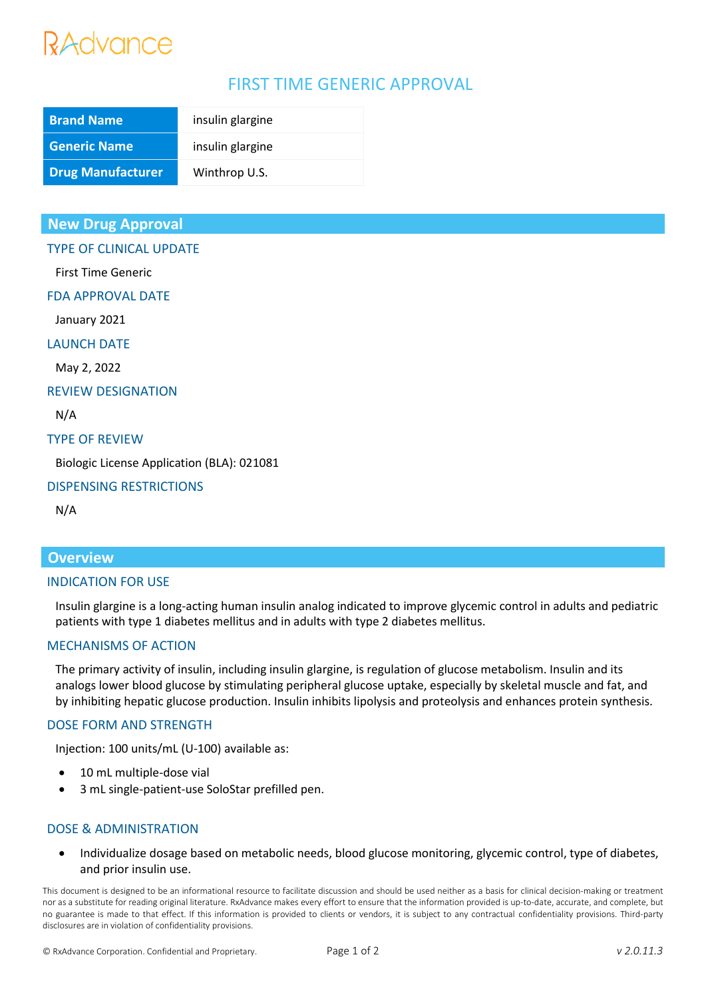# RAdvance

# FIRST TIME GENERIC APPROVAL

| <b>Brand Name</b>        | insulin glargine |
|--------------------------|------------------|
| <b>Generic Name</b>      | insulin glargine |
| <b>Drug Manufacturer</b> | Winthrop U.S.    |

# **New Drug Approval**

TYPE OF CLINICAL UPDATE

First Time Generic

FDA APPROVAL DATE

January 2021

LAUNCH DATE

May 2, 2022

REVIEW DESIGNATION

N/A

#### TYPE OF REVIEW

Biologic License Application (BLA): 021081

## DISPENSING RESTRICTIONS

N/A

# **Overview**

#### INDICATION FOR USE

Insulin glargine is a long-acting human insulin analog indicated to improve glycemic control in adults and pediatric patients with type 1 diabetes mellitus and in adults with type 2 diabetes mellitus.

## MECHANISMS OF ACTION

The primary activity of insulin, including insulin glargine, is regulation of glucose metabolism. Insulin and its analogs lower blood glucose by stimulating peripheral glucose uptake, especially by skeletal muscle and fat, and by inhibiting hepatic glucose production. Insulin inhibits lipolysis and proteolysis and enhances protein synthesis.

## DOSE FORM AND STRENGTH

Injection: 100 units/mL (U-100) available as:

- 10 mL multiple-dose vial
- 3 mL single-patient-use SoloStar prefilled pen.

## DOSE & ADMINISTRATION

• Individualize dosage based on metabolic needs, blood glucose monitoring, glycemic control, type of diabetes, and prior insulin use.

This document is designed to be an informational resource to facilitate discussion and should be used neither as a basis for clinical decision-making or treatment nor as a substitute for reading original literature. RxAdvance makes every effort to ensure that the information provided is up-to-date, accurate, and complete, but no guarantee is made to that effect. If this information is provided to clients or vendors, it is subject to any contractual confidentiality provisions. Third-party disclosures are in violation of confidentiality provisions.